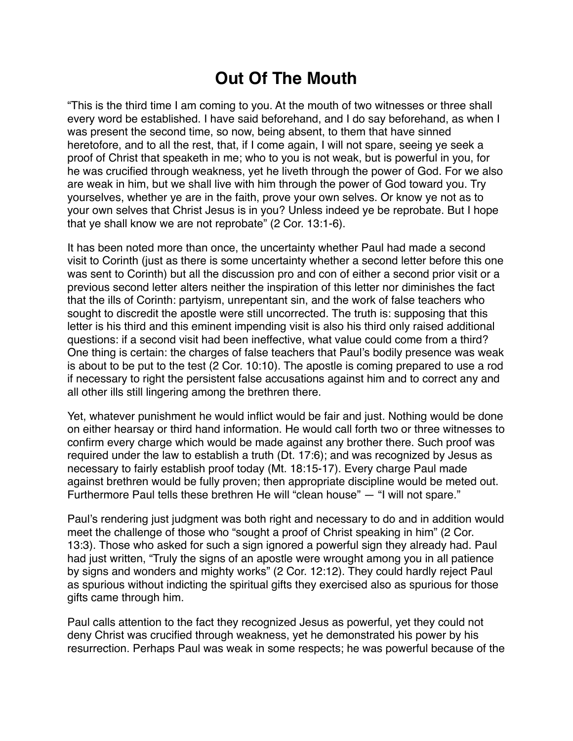## **Out Of The Mouth**

"This is the third time I am coming to you. At the mouth of two witnesses or three shall every word be established. I have said beforehand, and I do say beforehand, as when I was present the second time, so now, being absent, to them that have sinned heretofore, and to all the rest, that, if I come again, I will not spare, seeing ye seek a proof of Christ that speaketh in me; who to you is not weak, but is powerful in you, for he was crucified through weakness, yet he liveth through the power of God. For we also are weak in him, but we shall live with him through the power of God toward you. Try yourselves, whether ye are in the faith, prove your own selves. Or know ye not as to your own selves that Christ Jesus is in you? Unless indeed ye be reprobate. But I hope that ye shall know we are not reprobate" (2 Cor. 13:1-6).

It has been noted more than once, the uncertainty whether Paul had made a second visit to Corinth (just as there is some uncertainty whether a second letter before this one was sent to Corinth) but all the discussion pro and con of either a second prior visit or a previous second letter alters neither the inspiration of this letter nor diminishes the fact that the ills of Corinth: partyism, unrepentant sin, and the work of false teachers who sought to discredit the apostle were still uncorrected. The truth is: supposing that this letter is his third and this eminent impending visit is also his third only raised additional questions: if a second visit had been ineffective, what value could come from a third? One thing is certain: the charges of false teachers that Paul's bodily presence was weak is about to be put to the test (2 Cor. 10:10). The apostle is coming prepared to use a rod if necessary to right the persistent false accusations against him and to correct any and all other ills still lingering among the brethren there.

Yet, whatever punishment he would inflict would be fair and just. Nothing would be done on either hearsay or third hand information. He would call forth two or three witnesses to confirm every charge which would be made against any brother there. Such proof was required under the law to establish a truth (Dt. 17:6); and was recognized by Jesus as necessary to fairly establish proof today (Mt. 18:15-17). Every charge Paul made against brethren would be fully proven; then appropriate discipline would be meted out. Furthermore Paul tells these brethren He will "clean house" — "I will not spare."

Paul's rendering just judgment was both right and necessary to do and in addition would meet the challenge of those who "sought a proof of Christ speaking in him" (2 Cor. 13:3). Those who asked for such a sign ignored a powerful sign they already had. Paul had just written, "Truly the signs of an apostle were wrought among you in all patience by signs and wonders and mighty works" (2 Cor. 12:12). They could hardly reject Paul as spurious without indicting the spiritual gifts they exercised also as spurious for those gifts came through him.

Paul calls attention to the fact they recognized Jesus as powerful, yet they could not deny Christ was crucified through weakness, yet he demonstrated his power by his resurrection. Perhaps Paul was weak in some respects; he was powerful because of the